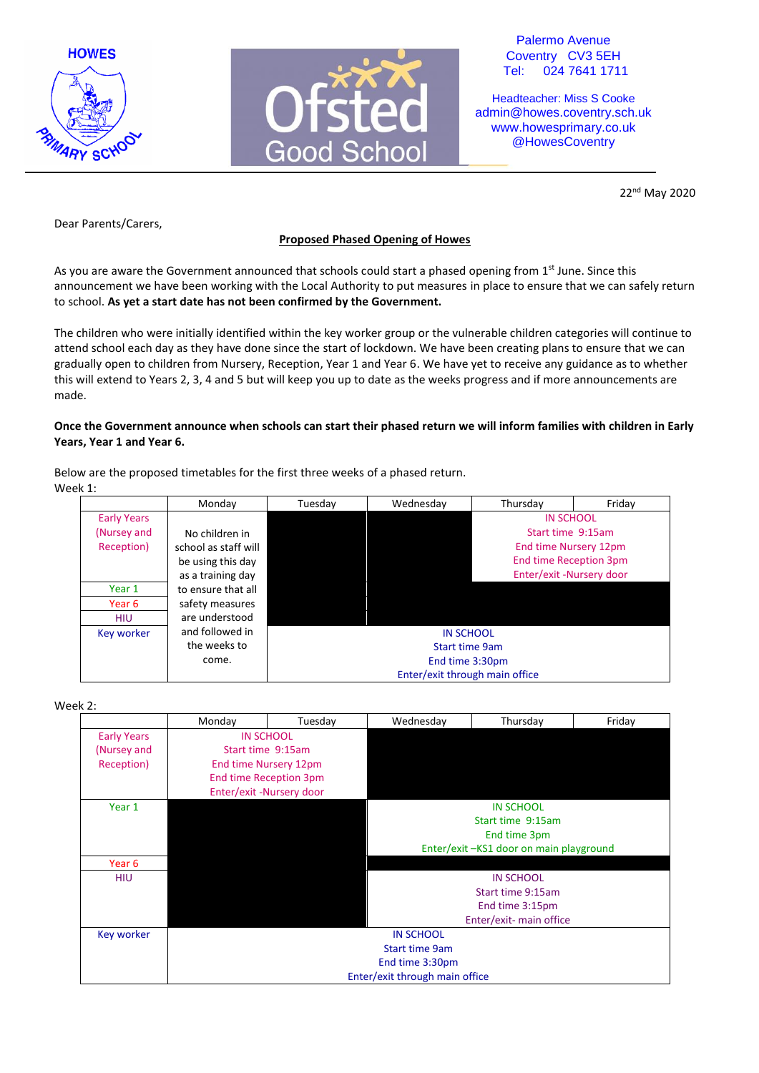



Palermo Avenue Coventry CV3 5EH Tel: 024 7641 1711

Headteacher: Miss S Cooke admin@howes.coventry.sch.uk www.howesprimary.co.uk @HowesCoventry

22nd May 2020

Dear Parents/Carers,

# **Proposed Phased Opening of Howes**

As you are aware the Government announced that schools could start a phased opening from 1<sup>st</sup> June. Since this announcement we have been working with the Local Authority to put measures in place to ensure that we can safely return to school. **As yet a start date has not been confirmed by the Government.**

The children who were initially identified within the key worker group or the vulnerable children categories will continue to attend school each day as they have done since the start of lockdown. We have been creating plans to ensure that we can gradually open to children from Nursery, Reception, Year 1 and Year 6. We have yet to receive any guidance as to whether this will extend to Years 2, 3, 4 and 5 but will keep you up to date as the weeks progress and if more announcements are made.

## **Once the Government announce when schools can start their phased return we will inform families with children in Early Years, Year 1 and Year 6.**

Below are the proposed timetables for the first three weeks of a phased return. Week 1:

|                    | Monday               | Tuesday | Wednesday                      | Thursday                      | Friday |  |  |
|--------------------|----------------------|---------|--------------------------------|-------------------------------|--------|--|--|
| <b>Early Years</b> |                      |         |                                | <b>IN SCHOOL</b>              |        |  |  |
| (Nursey and        | No children in       |         |                                | Start time 9:15am             |        |  |  |
| Reception)         | school as staff will |         |                                | End time Nursery 12pm         |        |  |  |
|                    | be using this day    |         |                                | <b>End time Reception 3pm</b> |        |  |  |
|                    | as a training day    |         |                                | Enter/exit-Nursery door       |        |  |  |
| Year 1             | to ensure that all   |         |                                |                               |        |  |  |
| Year 6             | safety measures      |         |                                |                               |        |  |  |
| <b>HIU</b>         | are understood       |         |                                |                               |        |  |  |
| Key worker         | and followed in      |         | <b>IN SCHOOL</b>               |                               |        |  |  |
|                    | the weeks to         |         | <b>Start time 9am</b>          |                               |        |  |  |
|                    | come.                |         | End time 3:30pm                |                               |        |  |  |
|                    |                      |         | Enter/exit through main office |                               |        |  |  |

Week 2:

|                                        | Monday                   | Tuesday | Wednesday                            | Thursday                | Friday |  |  |
|----------------------------------------|--------------------------|---------|--------------------------------------|-------------------------|--------|--|--|
| <b>Early Years</b>                     | <b>IN SCHOOL</b>         |         |                                      |                         |        |  |  |
| (Nursey and                            | Start time 9:15am        |         |                                      |                         |        |  |  |
| Reception)                             | End time Nursery 12pm    |         |                                      |                         |        |  |  |
|                                        | End time Reception 3pm   |         |                                      |                         |        |  |  |
|                                        | Enter/exit -Nursery door |         |                                      |                         |        |  |  |
| Year 1                                 | <b>IN SCHOOL</b>         |         |                                      |                         |        |  |  |
|                                        |                          |         | Start time 9:15am                    |                         |        |  |  |
|                                        |                          |         | End time 3pm                         |                         |        |  |  |
| Enter/exit-KS1 door on main playground |                          |         |                                      |                         |        |  |  |
| Year 6                                 |                          |         |                                      |                         |        |  |  |
| <b>IN SCHOOL</b><br><b>HIU</b>         |                          |         |                                      |                         |        |  |  |
|                                        |                          |         | Start time 9:15am<br>End time 3:15pm |                         |        |  |  |
|                                        |                          |         |                                      |                         |        |  |  |
|                                        |                          |         |                                      | Enter/exit- main office |        |  |  |
| Key worker                             | <b>IN SCHOOL</b>         |         |                                      |                         |        |  |  |
|                                        | <b>Start time 9am</b>    |         |                                      |                         |        |  |  |
|                                        | End time 3:30pm          |         |                                      |                         |        |  |  |
| Enter/exit through main office         |                          |         |                                      |                         |        |  |  |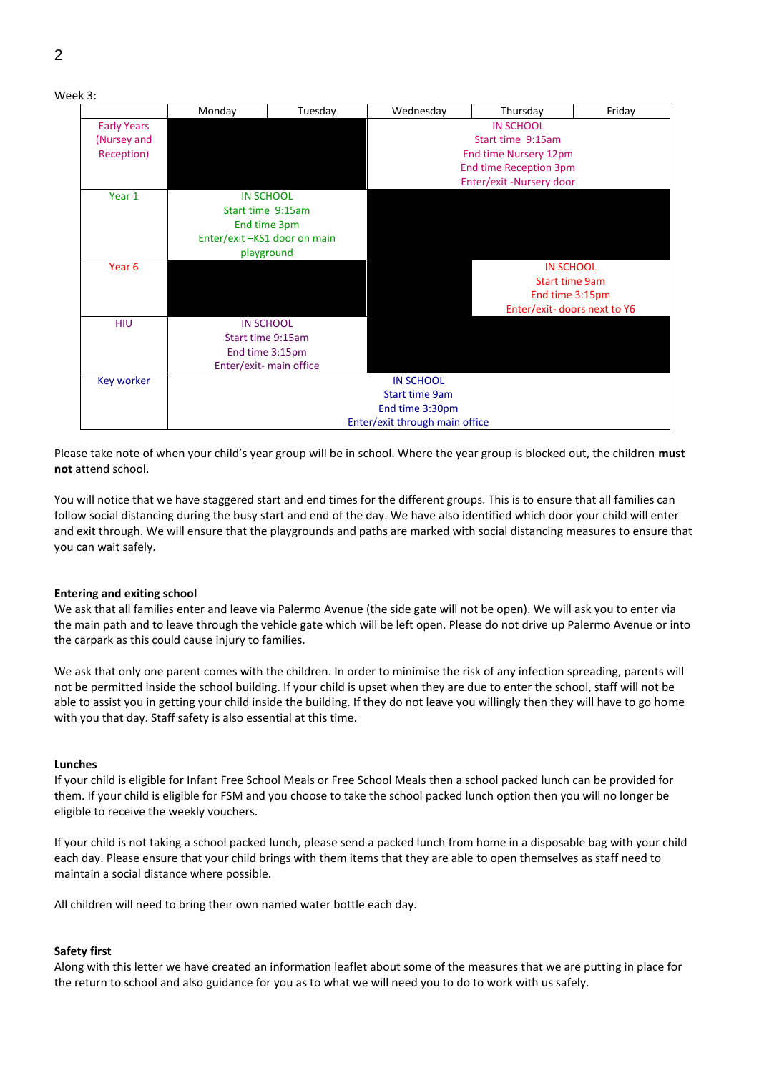

Please take note of when your child's year group will be in school. Where the year group is blocked out, the children **must not** attend school.

You will notice that we have staggered start and end times for the different groups. This is to ensure that all families can follow social distancing during the busy start and end of the day. We have also identified which door your child will enter and exit through. We will ensure that the playgrounds and paths are marked with social distancing measures to ensure that you can wait safely.

### **Entering and exiting school**

We ask that all families enter and leave via Palermo Avenue (the side gate will not be open). We will ask you to enter via the main path and to leave through the vehicle gate which will be left open. Please do not drive up Palermo Avenue or into the carpark as this could cause injury to families.

We ask that only one parent comes with the children. In order to minimise the risk of any infection spreading, parents will not be permitted inside the school building. If your child is upset when they are due to enter the school, staff will not be able to assist you in getting your child inside the building. If they do not leave you willingly then they will have to go home with you that day. Staff safety is also essential at this time.

#### **Lunches**

If your child is eligible for Infant Free School Meals or Free School Meals then a school packed lunch can be provided for them. If your child is eligible for FSM and you choose to take the school packed lunch option then you will no longer be eligible to receive the weekly vouchers.

If your child is not taking a school packed lunch, please send a packed lunch from home in a disposable bag with your child each day. Please ensure that your child brings with them items that they are able to open themselves as staff need to maintain a social distance where possible.

All children will need to bring their own named water bottle each day.

#### **Safety first**

Along with this letter we have created an information leaflet about some of the measures that we are putting in place for the return to school and also guidance for you as to what we will need you to do to work with us safely.